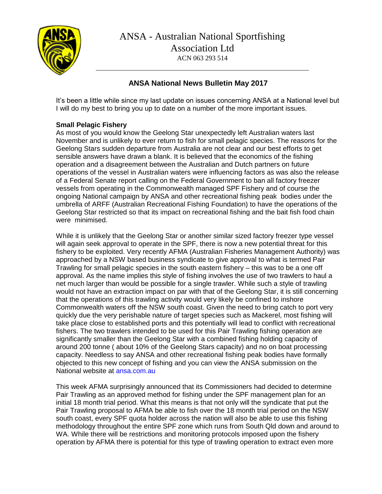

# <sup>1967</sup> **ANSA National News Bulletin May 2017**

It's been a little while since my last update on issues concerning ANSA at a National level but I will do my best to bring you up to date on a number of the more important issues.

# **Small Pelagic Fishery**

As most of you would know the Geelong Star unexpectedly left Australian waters last November and is unlikely to ever return to fish for small pelagic species. The reasons for the Geelong Stars sudden departure from Australia are not clear and our best efforts to get sensible answers have drawn a blank. It is believed that the economics of the fishing operation and a disagreement between the Australian and Dutch partners on future operations of the vessel in Australian waters were influencing factors as was also the release of a Federal Senate report calling on the Federal Government to ban all factory freezer vessels from operating in the Commonwealth managed SPF Fishery and of course the ongoing National campaign by ANSA and other recreational fishing peak bodies under the umbrella of ARFF (Australian Recreational Fishing Foundation) to have the operations of the Geelong Star restricted so that its impact on recreational fishing and the bait fish food chain were minimised.

While it is unlikely that the Geelong Star or another similar sized factory freezer type vessel will again seek approval to operate in the SPF, there is now a new potential threat for this fishery to be exploited. Very recently AFMA (Australian Fisheries Management Authority) was approached by a NSW based business syndicate to give approval to what is termed Pair Trawling for small pelagic species in the south eastern fishery – this was to be a one off approval. As the name implies this style of fishing involves the use of two trawlers to haul a net much larger than would be possible for a single trawler. While such a style of trawling would not have an extraction impact on par with that of the Geelong Star, it is still concerning that the operations of this trawling activity would very likely be confined to inshore Commonwealth waters off the NSW south coast. Given the need to bring catch to port very quickly due the very perishable nature of target species such as Mackerel, most fishing will take place close to established ports and this potentially will lead to conflict with recreational fishers. The two trawlers intended to be used for this Pair Trawling fishing operation are significantly smaller than the Geelong Star with a combined fishing holding capacity of around 200 tonne ( about 10% of the Geelong Stars capacity) and no on boat processing capacity. Needless to say ANSA and other recreational fishing peak bodies have formally objected to this new concept of fishing and you can view the ANSA submission on the National website at ansa.com.au

This week AFMA surprisingly announced that its Commissioners had decided to determine Pair Trawling as an approved method for fishing under the SPF management plan for an initial 18 month trial period. What this means is that not only will the syndicate that put the Pair Trawling proposal to AFMA be able to fish over the 18 month trial period on the NSW south coast, every SPF quota holder across the nation will also be able to use this fishing methodology throughout the entire SPF zone which runs from South Qld down and around to WA. While there will be restrictions and monitoring protocols imposed upon the fishery operation by AFMA there is potential for this type of trawling operation to extract even more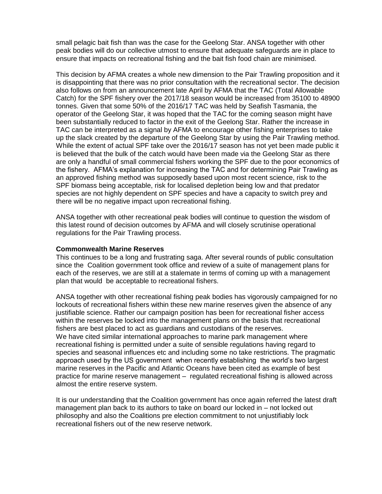small pelagic bait fish than was the case for the Geelong Star. ANSA together with other peak bodies will do our collective utmost to ensure that adequate safeguards are in place to ensure that impacts on recreational fishing and the bait fish food chain are minimised.

This decision by AFMA creates a whole new dimension to the Pair Trawling proposition and it is disappointing that there was no prior consultation with the recreational sector. The decision also follows on from an announcement late April by AFMA that the TAC (Total Allowable Catch) for the SPF fishery over the 2017/18 season would be increased from 35100 to 48900 tonnes. Given that some 50% of the 2016/17 TAC was held by Seafish Tasmania, the operator of the Geelong Star, it was hoped that the TAC for the coming season might have been substantially reduced to factor in the exit of the Geelong Star. Rather the increase in TAC can be interpreted as a signal by AFMA to encourage other fishing enterprises to take up the slack created by the departure of the Geelong Star by using the Pair Trawling method. While the extent of actual SPF take over the 2016/17 season has not yet been made public it is believed that the bulk of the catch would have been made via the Geelong Star as there are only a handful of small commercial fishers working the SPF due to the poor economics of the fishery. AFMA's explanation for increasing the TAC and for determining Pair Trawling as an approved fishing method was supposedly based upon most recent science, risk to the SPF biomass being acceptable, risk for localised depletion being low and that predator species are not highly dependent on SPF species and have a capacity to switch prey and there will be no negative impact upon recreational fishing.

ANSA together with other recreational peak bodies will continue to question the wisdom of this latest round of decision outcomes by AFMA and will closely scrutinise operational regulations for the Pair Trawling process.

## **Commonwealth Marine Reserves**

This continues to be a long and frustrating saga. After several rounds of public consultation since the Coalition government took office and review of a suite of management plans for each of the reserves, we are still at a stalemate in terms of coming up with a management plan that would be acceptable to recreational fishers.

ANSA together with other recreational fishing peak bodies has vigorously campaigned for no lockouts of recreational fishers within these new marine reserves given the absence of any justifiable science. Rather our campaign position has been for recreational fisher access within the reserves be locked into the management plans on the basis that recreational fishers are best placed to act as guardians and custodians of the reserves. We have cited similar international approaches to marine park management where recreational fishing is permitted under a suite of sensible regulations having regard to species and seasonal influences etc and including some no take restrictions. The pragmatic approach used by the US government when recently establishing the world's two largest marine reserves in the Pacific and Atlantic Oceans have been cited as example of best practice for marine reserve management – regulated recreational fishing is allowed across almost the entire reserve system.

It is our understanding that the Coalition government has once again referred the latest draft management plan back to its authors to take on board our locked in – not locked out philosophy and also the Coalitions pre election commitment to not unjustifiably lock recreational fishers out of the new reserve network.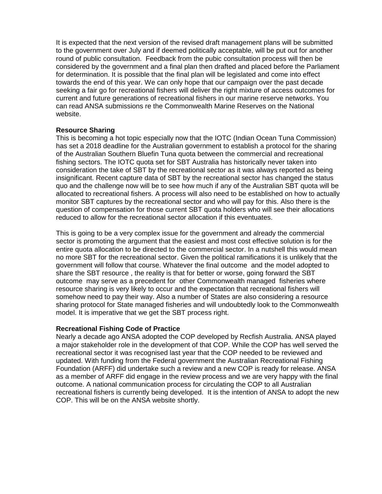It is expected that the next version of the revised draft management plans will be submitted to the government over July and if deemed politically acceptable, will be put out for another round of public consultation. Feedback from the pubic consultation process will then be considered by the government and a final plan then drafted and placed before the Parliament for determination. It is possible that the final plan will be legislated and come into effect towards the end of this year. We can only hope that our campaign over the past decade seeking a fair go for recreational fishers will deliver the right mixture of access outcomes for current and future generations of recreational fishers in our marine reserve networks. You can read ANSA submissions re the Commonwealth Marine Reserves on the National website.

#### **Resource Sharing**

This is becoming a hot topic especially now that the IOTC (Indian Ocean Tuna Commission) has set a 2018 deadline for the Australian government to establish a protocol for the sharing of the Australian Southern Bluefin Tuna quota between the commercial and recreational fishing sectors. The IOTC quota set for SBT Australia has historically never taken into consideration the take of SBT by the recreational sector as it was always reported as being insignificant. Recent capture data of SBT by the recreational sector has changed the status quo and the challenge now will be to see how much if any of the Australian SBT quota will be allocated to recreational fishers. A process will also need to be established on how to actually monitor SBT captures by the recreational sector and who will pay for this. Also there is the question of compensation for those current SBT quota holders who will see their allocations reduced to allow for the recreational sector allocation if this eventuates.

This is going to be a very complex issue for the government and already the commercial sector is promoting the argument that the easiest and most cost effective solution is for the entire quota allocation to be directed to the commercial sector. In a nutshell this would mean no more SBT for the recreational sector. Given the political ramifications it is unlikely that the government will follow that course. Whatever the final outcome and the model adopted to share the SBT resource , the reality is that for better or worse, going forward the SBT outcome may serve as a precedent for other Commonwealth managed fisheries where resource sharing is very likely to occur and the expectation that recreational fishers will somehow need to pay their way. Also a number of States are also considering a resource sharing protocol for State managed fisheries and will undoubtedly look to the Commonwealth model. It is imperative that we get the SBT process right.

#### **Recreational Fishing Code of Practice**

Nearly a decade ago ANSA adopted the COP developed by Recfish Australia. ANSA played a major stakeholder role in the development of that COP. While the COP has well served the recreational sector it was recognised last year that the COP needed to be reviewed and updated. With funding from the Federal government the Australian Recreational Fishing Foundation (ARFF) did undertake such a review and a new COP is ready for release. ANSA as a member of ARFF did engage in the review process and we are very happy with the final outcome. A national communication process for circulating the COP to all Australian recreational fishers is currently being developed. It is the intention of ANSA to adopt the new COP. This will be on the ANSA website shortly.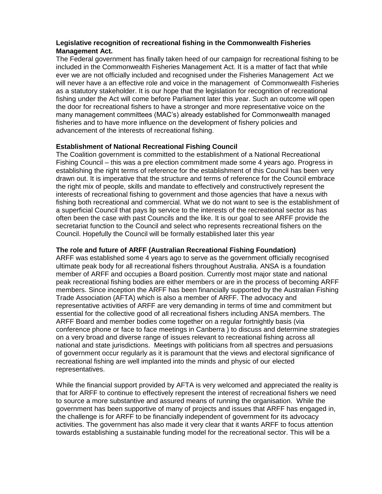# **Legislative recognition of recreational fishing in the Commonwealth Fisheries Management Act.**

The Federal government has finally taken heed of our campaign for recreational fishing to be included in the Commonwealth Fisheries Management Act. It is a matter of fact that while ever we are not officially included and recognised under the Fisheries Management Act we will never have a an effective role and voice in the management of Commonwealth Fisheries as a statutory stakeholder. It is our hope that the legislation for recognition of recreational fishing under the Act will come before Parliament later this year. Such an outcome will open the door for recreational fishers to have a stronger and more representative voice on the many management committees (MAC's) already established for Commonwealth managed fisheries and to have more influence on the development of fishery policies and advancement of the interests of recreational fishing.

## **Establishment of National Recreational Fishing Council**

The Coalition government is committed to the establishment of a National Recreational Fishing Council – this was a pre election commitment made some 4 years ago. Progress in establishing the right terms of reference for the establishment of this Council has been very drawn out. It is imperative that the structure and terms of reference for the Council embrace the right mix of people, skills and mandate to effectively and constructively represent the interests of recreational fishing to government and those agencies that have a nexus with fishing both recreational and commercial. What we do not want to see is the establishment of a superficial Council that pays lip service to the interests of the recreational sector as has often been the case with past Councils and the like. It is our goal to see ARFF provide the secretariat function to the Council and select who represents recreational fishers on the Council. Hopefully the Council will be formally established later this year

# **The role and future of ARFF (Australian Recreational Fishing Foundation)**

ARFF was established some 4 years ago to serve as the government officially recognised ultimate peak body for all recreational fishers throughout Australia. ANSA is a foundation member of ARFF and occupies a Board position. Currently most major state and national peak recreational fishing bodies are either members or are in the process of becoming ARFF members. Since inception the ARFF has been financially supported by the Australian Fishing Trade Association (AFTA) which is also a member of ARFF. The advocacy and representative activities of ARFF are very demanding in terms of time and commitment but essential for the collective good of all recreational fishers including ANSA members. The ARFF Board and member bodies come together on a regular fortnightly basis (via conference phone or face to face meetings in Canberra ) to discuss and determine strategies on a very broad and diverse range of issues relevant to recreational fishing across all national and state jurisdictions. Meetings with politicians from all spectres and persuasions of government occur regularly as it is paramount that the views and electoral significance of recreational fishing are well implanted into the minds and physic of our elected representatives.

While the financial support provided by AFTA is very welcomed and appreciated the reality is that for ARFF to continue to effectively represent the interest of recreational fishers we need to source a more substantive and assured means of running the organisation. While the government has been supportive of many of projects and issues that ARFF has engaged in, the challenge is for ARFF to be financially independent of government for its advocacy activities. The government has also made it very clear that it wants ARFF to focus attention towards establishing a sustainable funding model for the recreational sector. This will be a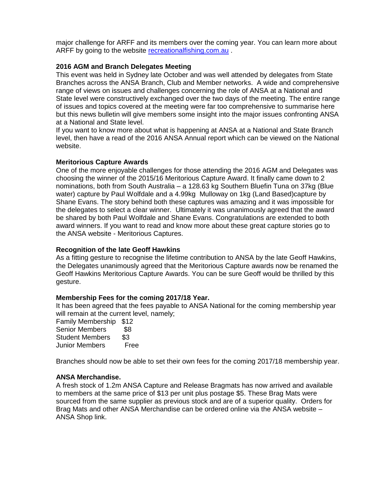major challenge for ARFF and its members over the coming year. You can learn more about ARFF by going to the website recreationalfishing.com.au.

### **2016 AGM and Branch Delegates Meeting**

This event was held in Sydney late October and was well attended by delegates from State Branches across the ANSA Branch, Club and Member networks. A wide and comprehensive range of views on issues and challenges concerning the role of ANSA at a National and State level were constructively exchanged over the two days of the meeting. The entire range of issues and topics covered at the meeting were far too comprehensive to summarise here but this news bulletin will give members some insight into the major issues confronting ANSA at a National and State level.

If you want to know more about what is happening at ANSA at a National and State Branch level, then have a read of the 2016 ANSA Annual report which can be viewed on the National website.

#### **Meritorious Capture Awards**

One of the more enjoyable challenges for those attending the 2016 AGM and Delegates was choosing the winner of the 2015/16 Meritorious Capture Award. It finally came down to 2 nominations, both from South Australia – a 128.63 kg Southern Bluefin Tuna on 37kg (Blue water) capture by Paul Wolfdale and a 4.99kg Mulloway on 1kg (Land Based)capture by Shane Evans. The story behind both these captures was amazing and it was impossible for the delegates to select a clear winner. Ultimately it was unanimously agreed that the award be shared by both Paul Wolfdale and Shane Evans. Congratulations are extended to both award winners. If you want to read and know more about these great capture stories go to the ANSA website - Meritorious Captures.

#### **Recognition of the late Geoff Hawkins**

As a fitting gesture to recognise the lifetime contribution to ANSA by the late Geoff Hawkins, the Delegates unanimously agreed that the Meritorious Capture awards now be renamed the Geoff Hawkins Meritorious Capture Awards. You can be sure Geoff would be thrilled by this gesture.

#### **Membership Fees for the coming 2017/18 Year.**

It has been agreed that the fees payable to ANSA National for the coming membership year will remain at the current level, namely;

Family Membership \$12 Senior Members \$8 Student Members \$3<br>Junior Members Free **Junior Members** 

Branches should now be able to set their own fees for the coming 2017/18 membership year.

#### **ANSA Merchandise.**

A fresh stock of 1.2m ANSA Capture and Release Bragmats has now arrived and available to members at the same price of \$13 per unit plus postage \$5. These Brag Mats were sourced from the same supplier as previous stock and are of a superior quality. Orders for Brag Mats and other ANSA Merchandise can be ordered online via the ANSA website – ANSA Shop link.